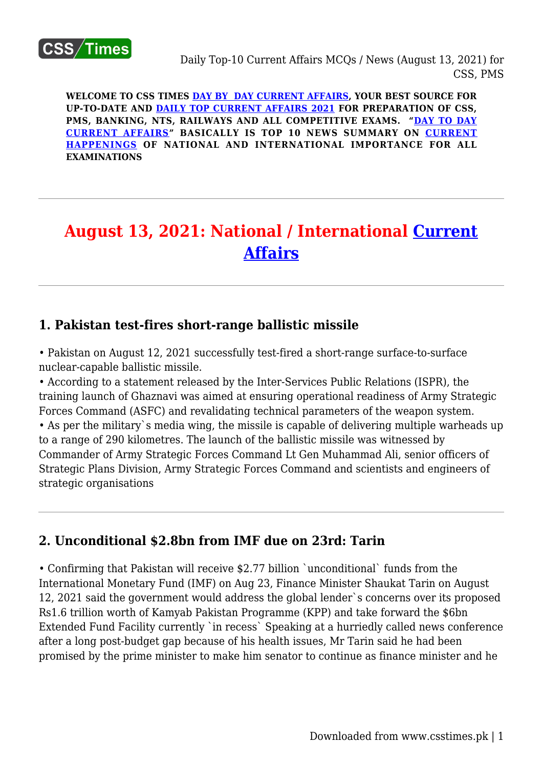

**WELCOME TO CSS TIMES [DAY BY DAY CURRENT AFFAIRS](https://www.csstimes.pk/category/csssubject/csscompulsorysubjects/currentaffairs/), YOUR BEST SOURCE FOR UP-TO-DATE AND [DAILY TOP CURRENT AFFAIRS 2021](https://www.csstimes.pk/category/csssubject/csscompulsorysubjects/currentaffairs/) FOR PREPARATION OF CSS, PMS, BANKING, NTS, RAILWAYS AND ALL COMPETITIVE EXAMS. "[DAY TO DAY](https://www.csstimes.pk/category/csssubject/csscompulsorysubjects/currentaffairs/) [CURRENT AFFAIRS"](https://www.csstimes.pk/category/csssubject/csscompulsorysubjects/currentaffairs/) BASICALLY IS TOP 10 NEWS SUMMARY ON [CURRENT](https://www.csstimes.pk/category/csssubject/csscompulsorysubjects/currentaffairs/) [HAPPENINGS](https://www.csstimes.pk/category/csssubject/csscompulsorysubjects/currentaffairs/) OF NATIONAL AND INTERNATIONAL IMPORTANCE FOR ALL EXAMINATIONS**

# **August 13, 2021: National / International [Current](https://www.csstimes.pk/category/csssubject/csscompulsorysubjects/currentaffairs/) [Affairs](https://www.csstimes.pk/category/csssubject/csscompulsorysubjects/currentaffairs/)**

#### **1. Pakistan test-fires short-range ballistic missile**

• Pakistan on August 12, 2021 successfully test-fired a short-range surface-to-surface nuclear-capable ballistic missile.

• According to a statement released by the Inter-Services Public Relations (ISPR), the training launch of Ghaznavi was aimed at ensuring operational readiness of Army Strategic Forces Command (ASFC) and revalidating technical parameters of the weapon system. • As per the military`s media wing, the missile is capable of delivering multiple warheads up to a range of 290 kilometres. The launch of the ballistic missile was witnessed by Commander of Army Strategic Forces Command Lt Gen Muhammad Ali, senior officers of Strategic Plans Division, Army Strategic Forces Command and scientists and engineers of strategic organisations

## **2. Unconditional \$2.8bn from IMF due on 23rd: Tarin**

• Confirming that Pakistan will receive \$2.77 billion `unconditional` funds from the International Monetary Fund (IMF) on Aug 23, Finance Minister Shaukat Tarin on August 12, 2021 said the government would address the global lender`s concerns over its proposed Rs1.6 trillion worth of Kamyab Pakistan Programme (KPP) and take forward the \$6bn Extended Fund Facility currently `in recess` Speaking at a hurriedly called news conference after a long post-budget gap because of his health issues, Mr Tarin said he had been promised by the prime minister to make him senator to continue as finance minister and he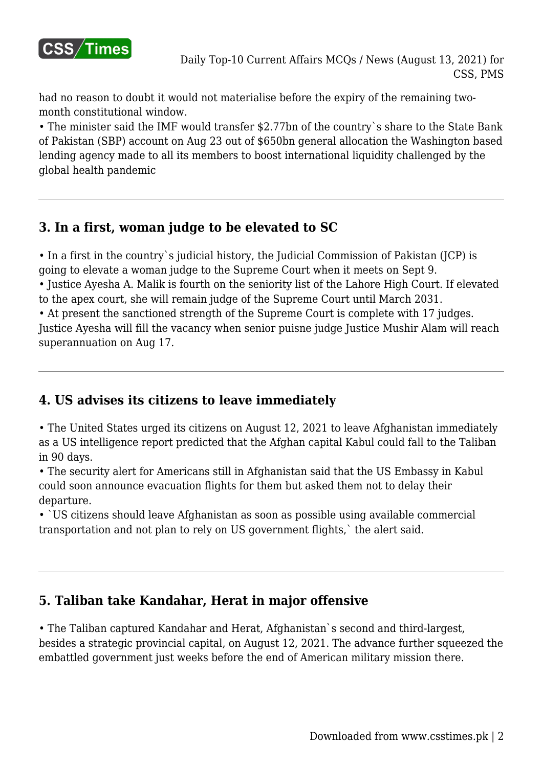

had no reason to doubt it would not materialise before the expiry of the remaining twomonth constitutional window.

• The minister said the IMF would transfer \$2.77bn of the country`s share to the State Bank of Pakistan (SBP) account on Aug 23 out of \$650bn general allocation the Washington based lending agency made to all its members to boost international liquidity challenged by the global health pandemic

## **3. In a first, woman judge to be elevated to SC**

• In a first in the country`s judicial history, the Judicial Commission of Pakistan (JCP) is going to elevate a woman judge to the Supreme Court when it meets on Sept 9.

• Justice Ayesha A. Malik is fourth on the seniority list of the Lahore High Court. If elevated to the apex court, she will remain judge of the Supreme Court until March 2031.

• At present the sanctioned strength of the Supreme Court is complete with 17 judges. Justice Ayesha will fill the vacancy when senior puisne judge Justice Mushir Alam will reach superannuation on Aug 17.

## **4. US advises its citizens to leave immediately**

• The United States urged its citizens on August 12, 2021 to leave Afghanistan immediately as a US intelligence report predicted that the Afghan capital Kabul could fall to the Taliban in 90 days.

• The security alert for Americans still in Afghanistan said that the US Embassy in Kabul could soon announce evacuation flights for them but asked them not to delay their departure.

• `US citizens should leave Afghanistan as soon as possible using available commercial transportation and not plan to rely on US government flights,` the alert said.

## **5. Taliban take Kandahar, Herat in major offensive**

• The Taliban captured Kandahar and Herat, Afghanistan`s second and third-largest, besides a strategic provincial capital, on August 12, 2021. The advance further squeezed the embattled government just weeks before the end of American military mission there.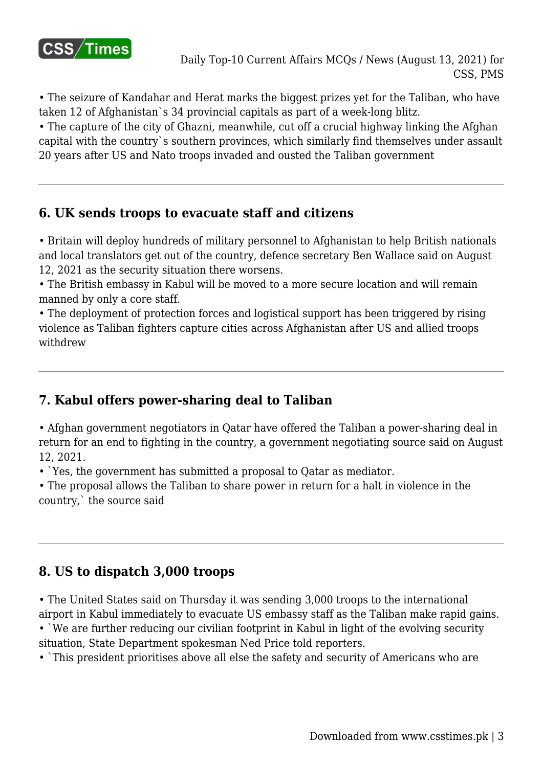

• The seizure of Kandahar and Herat marks the biggest prizes yet for the Taliban, who have taken 12 of Afghanistan`s 34 provincial capitals as part of a week-long blitz.

• The capture of the city of Ghazni, meanwhile, cut off a crucial highway linking the Afghan capital with the country`s southern provinces, which similarly find themselves under assault 20 years after US and Nato troops invaded and ousted the Taliban government

## **6. UK sends troops to evacuate staff and citizens**

• Britain will deploy hundreds of military personnel to Afghanistan to help British nationals and local translators get out of the country, defence secretary Ben Wallace said on August 12, 2021 as the security situation there worsens.

• The British embassy in Kabul will be moved to a more secure location and will remain manned by only a core staff.

• The deployment of protection forces and logistical support has been triggered by rising violence as Taliban fighters capture cities across Afghanistan after US and allied troops withdrew

# **7. Kabul offers power-sharing deal to Taliban**

• Afghan government negotiators in Qatar have offered the Taliban a power-sharing deal in return for an end to fighting in the country, a government negotiating source said on August 12, 2021.

• `Yes, the government has submitted a proposal to Qatar as mediator.

• The proposal allows the Taliban to share power in return for a halt in violence in the country,` the source said

# **8. US to dispatch 3,000 troops**

• The United States said on Thursday it was sending 3,000 troops to the international airport in Kabul immediately to evacuate US embassy staff as the Taliban make rapid gains.

• `We are further reducing our civilian footprint in Kabul in light of the evolving security situation, State Department spokesman Ned Price told reporters.

• `This president prioritises above all else the safety and security of Americans who are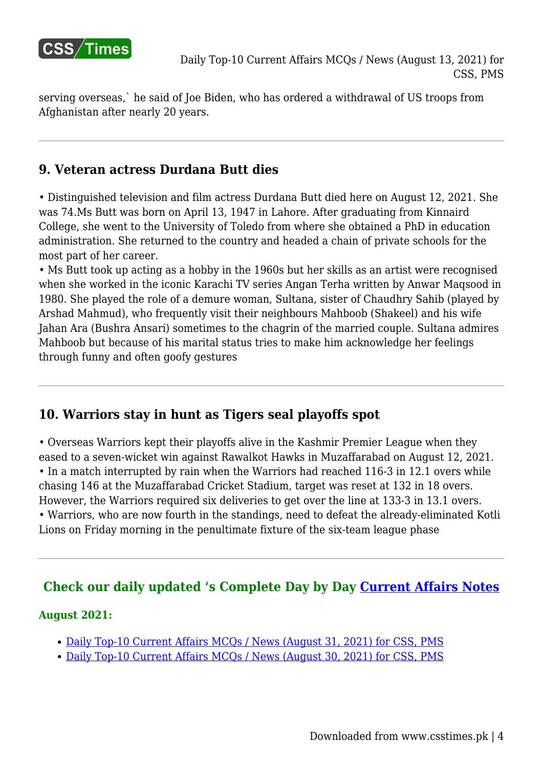

serving overseas,` he said of Joe Biden, who has ordered a withdrawal of US troops from Afghanistan after nearly 20 years.

#### **9. Veteran actress Durdana Butt dies**

• Distinguished television and film actress Durdana Butt died here on August 12, 2021. She was 74.Ms Butt was born on April 13, 1947 in Lahore. After graduating from Kinnaird College, she went to the University of Toledo from where she obtained a PhD in education administration. She returned to the country and headed a chain of private schools for the most part of her career.

• Ms Butt took up acting as a hobby in the 1960s but her skills as an artist were recognised when she worked in the iconic Karachi TV series Angan Terha written by Anwar Maqsood in 1980. She played the role of a demure woman, Sultana, sister of Chaudhry Sahib (played by Arshad Mahmud), who frequently visit their neighbours Mahboob (Shakeel) and his wife Jahan Ara (Bushra Ansari) sometimes to the chagrin of the married couple. Sultana admires Mahboob but because of his marital status tries to make him acknowledge her feelings through funny and often goofy gestures

## **10. Warriors stay in hunt as Tigers seal playoffs spot**

• Overseas Warriors kept their playoffs alive in the Kashmir Premier League when they eased to a seven-wicket win against Rawalkot Hawks in Muzaffarabad on August 12, 2021. • In a match interrupted by rain when the Warriors had reached 116-3 in 12.1 overs while chasing 146 at the Muzaffarabad Cricket Stadium, target was reset at 132 in 18 overs. However, the Warriors required six deliveries to get over the line at 133-3 in 13.1 overs. • Warriors, who are now fourth in the standings, need to defeat the already-eliminated Kotli Lions on Friday morning in the penultimate fixture of the six-team league phase

## **Check our daily updated 's Complete Day by Day [Current Affairs Notes](https://www.csstimes.pk/category/csssubject/csscompulsorysubjects/currentaffairs/)**

#### **August 2021:**

- [Daily Top-10 Current Affairs MCQs / News \(August 31, 2021\) for CSS, PMS](https://www.csstimes.pk/current-affairs-mcqs-aug-31-2021/)
- [Daily Top-10 Current Affairs MCQs / News \(August 30, 2021\) for CSS, PMS](https://www.csstimes.pk/current-affairs-mcqs-aug-30-2021/)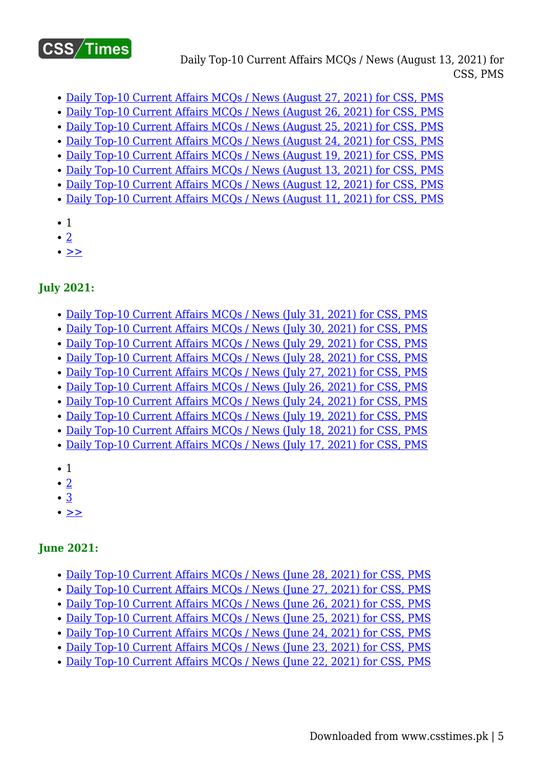

Daily Top-10 Current Affairs MCQs / News (August 13, 2021) for CSS, PMS

- [Daily Top-10 Current Affairs MCQs / News \(August 27, 2021\) for CSS, PMS](https://www.csstimes.pk/current-affairs-mcqs-aug-27-2021/)
- [Daily Top-10 Current Affairs MCQs / News \(August 26, 2021\) for CSS, PMS](https://www.csstimes.pk/current-affairs-mcqs-aug-26-2021/)
- [Daily Top-10 Current Affairs MCQs / News \(August 25, 2021\) for CSS, PMS](https://www.csstimes.pk/current-affairs-mcqs-aug-25-2021/)
- [Daily Top-10 Current Affairs MCQs / News \(August 24, 2021\) for CSS, PMS](https://www.csstimes.pk/current-affairs-mcqs-aug-24-2021/)
- [Daily Top-10 Current Affairs MCQs / News \(August 19, 2021\) for CSS, PMS](https://www.csstimes.pk/current-affairs-mcqs-aug-19-2021/)
- [Daily Top-10 Current Affairs MCQs / News \(August 13, 2021\) for CSS, PMS](https://www.csstimes.pk/current-affairs-mcqs-aug-13-2021/)
- [Daily Top-10 Current Affairs MCQs / News \(August 12, 2021\) for CSS, PMS](https://www.csstimes.pk/current-affairs-mcqs-aug-12-2021/)
- [Daily Top-10 Current Affairs MCQs / News \(August 11, 2021\) for CSS, PMS](https://www.csstimes.pk/current-affairs-mcqs-aug-11-2021/)
- 1
- $\bullet$  [2](https://www.csstimes.pk/current-affairs-mcqs-aug-13-2021/?pdf=18292&lcp_page0=2#lcp_instance_0)
- $\bullet$   $>$

#### **July 2021:**

- [Daily Top-10 Current Affairs MCQs / News \(July 31, 2021\) for CSS, PMS](https://www.csstimes.pk/current-affairs-mcqs-july-31-2021/)
- [Daily Top-10 Current Affairs MCQs / News \(July 30, 2021\) for CSS, PMS](https://www.csstimes.pk/current-affairs-mcqs-july-30-2021/)
- [Daily Top-10 Current Affairs MCQs / News \(July 29, 2021\) for CSS, PMS](https://www.csstimes.pk/current-affairs-mcqs-july-29-2021/)
- [Daily Top-10 Current Affairs MCQs / News \(July 28, 2021\) for CSS, PMS](https://www.csstimes.pk/current-affairs-mcqs-july-28-2021/)
- [Daily Top-10 Current Affairs MCQs / News \(July 27, 2021\) for CSS, PMS](https://www.csstimes.pk/daily-current-affairs-mcqs-news-july-27-2021/)
- [Daily Top-10 Current Affairs MCQs / News \(July 26, 2021\) for CSS, PMS](https://www.csstimes.pk/current-affairs-mcqs-jul-26-2021/)
- [Daily Top-10 Current Affairs MCQs / News \(July 24, 2021\) for CSS, PMS](https://www.csstimes.pk/current-affairs-mcqs-jul-24-2021/)
- [Daily Top-10 Current Affairs MCQs / News \(July 19, 2021\) for CSS, PMS](https://www.csstimes.pk/current-affairs-mcqs-jul-19-2021/)
- [Daily Top-10 Current Affairs MCQs / News \(July 18, 2021\) for CSS, PMS](https://www.csstimes.pk/current-affairs-mcqs-jul-18-2021/)
- [Daily Top-10 Current Affairs MCQs / News \(July 17, 2021\) for CSS, PMS](https://www.csstimes.pk/current-affairs-mcqs-jul-17-2021/)
- 1
- $\bullet$  [2](https://www.csstimes.pk/current-affairs-mcqs-aug-13-2021/?pdf=18292&lcp_page0=2#lcp_instance_0)
- [3](https://www.csstimes.pk/current-affairs-mcqs-aug-13-2021/?pdf=18292&lcp_page0=3#lcp_instance_0)
- $\cdot$   $\geq$

#### **June 2021:**

- [Daily Top-10 Current Affairs MCQs / News \(June 28, 2021\) for CSS, PMS](https://www.csstimes.pk/current-affairs-mcqs-june-28-2021/)
- [Daily Top-10 Current Affairs MCQs / News \(June 27, 2021\) for CSS, PMS](https://www.csstimes.pk/current-affairs-mcqs-june-27-2021/)
- [Daily Top-10 Current Affairs MCQs / News \(June 26, 2021\) for CSS, PMS](https://www.csstimes.pk/current-affairs-mcqs-june-26-2021/)
- [Daily Top-10 Current Affairs MCQs / News \(June 25, 2021\) for CSS, PMS](https://www.csstimes.pk/current-affairs-mcqs-june-25-2021/)
- [Daily Top-10 Current Affairs MCQs / News \(June 24, 2021\) for CSS, PMS](https://www.csstimes.pk/current-affairs-mcqs-june-24-2021/)
- [Daily Top-10 Current Affairs MCQs / News \(June 23, 2021\) for CSS, PMS](https://www.csstimes.pk/current-affairs-mcqs-june-23-2021/)
- [Daily Top-10 Current Affairs MCQs / News \(June 22, 2021\) for CSS, PMS](https://www.csstimes.pk/current-affairs-mcqs-june-22-2021/)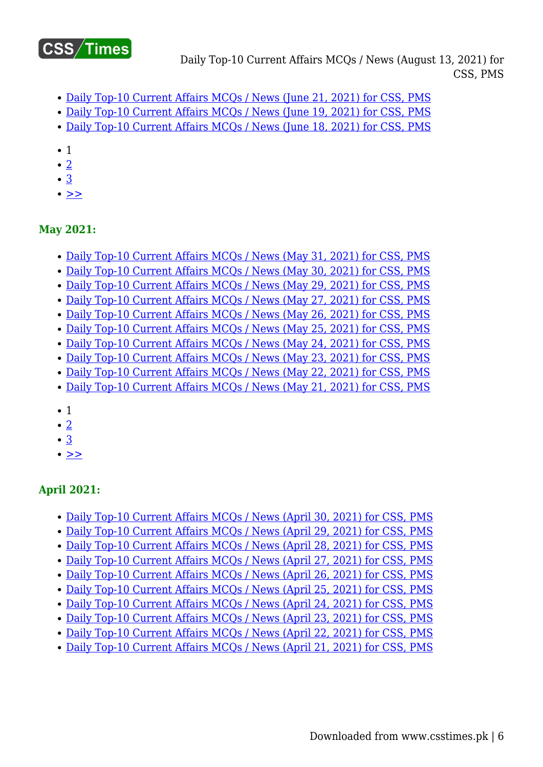

Daily Top-10 Current Affairs MCQs / News (August 13, 2021) for CSS, PMS

- [Daily Top-10 Current Affairs MCQs / News \(June 21, 2021\) for CSS, PMS](https://www.csstimes.pk/current-affairs-mcqs-june-21-2021/)
- [Daily Top-10 Current Affairs MCQs / News \(June 19, 2021\) for CSS, PMS](https://www.csstimes.pk/current-affairs-mcqs-june-19-2021/)
- [Daily Top-10 Current Affairs MCQs / News \(June 18, 2021\) for CSS, PMS](https://www.csstimes.pk/current-affairs-mcqs-june-18-2021/)
- 1
- $\bullet$  [2](https://www.csstimes.pk/current-affairs-mcqs-aug-13-2021/?pdf=18292&lcp_page0=2#lcp_instance_0)
- [3](https://www.csstimes.pk/current-affairs-mcqs-aug-13-2021/?pdf=18292&lcp_page0=3#lcp_instance_0)
- $\bullet$   $>$

#### **May 2021:**

- [Daily Top-10 Current Affairs MCQs / News \(May 31, 2021\) for CSS, PMS](https://www.csstimes.pk/current-affairs-mcqs-may-31-2021/)
- [Daily Top-10 Current Affairs MCQs / News \(May 30, 2021\) for CSS, PMS](https://www.csstimes.pk/current-affairs-mcqs-may-30-2021/)
- [Daily Top-10 Current Affairs MCQs / News \(May 29, 2021\) for CSS, PMS](https://www.csstimes.pk/current-affairs-mcqs-may-29-2021/)
- [Daily Top-10 Current Affairs MCQs / News \(May 27, 2021\) for CSS, PMS](https://www.csstimes.pk/current-affairs-mcqs-may-27-2021/)
- [Daily Top-10 Current Affairs MCQs / News \(May 26, 2021\) for CSS, PMS](https://www.csstimes.pk/current-affairs-mcqs-may-26-2021/)
- [Daily Top-10 Current Affairs MCQs / News \(May 25, 2021\) for CSS, PMS](https://www.csstimes.pk/current-affairs-mcqs-may-25-2021/)
- [Daily Top-10 Current Affairs MCQs / News \(May 24, 2021\) for CSS, PMS](https://www.csstimes.pk/current-affairs-mcqs-may-24-2021/)
- [Daily Top-10 Current Affairs MCQs / News \(May 23, 2021\) for CSS, PMS](https://www.csstimes.pk/current-affairs-mcqs-may-23-2021/)
- [Daily Top-10 Current Affairs MCQs / News \(May 22, 2021\) for CSS, PMS](https://www.csstimes.pk/current-affairs-mcqs-may-22-2021/)
- [Daily Top-10 Current Affairs MCQs / News \(May 21, 2021\) for CSS, PMS](https://www.csstimes.pk/current-affairs-mcqs-may-21-2021/)
- 1
- [2](https://www.csstimes.pk/current-affairs-mcqs-aug-13-2021/?pdf=18292&lcp_page0=2#lcp_instance_0)
- $\cdot$  [3](https://www.csstimes.pk/current-affairs-mcqs-aug-13-2021/?pdf=18292&lcp_page0=3#lcp_instance_0)
- $\cdot$   $\geq$

## **April 2021:**

- [Daily Top-10 Current Affairs MCQs / News \(April 30, 2021\) for CSS, PMS](https://www.csstimes.pk/current-affairs-mcqs-april-30-2021/)
- [Daily Top-10 Current Affairs MCQs / News \(April 29, 2021\) for CSS, PMS](https://www.csstimes.pk/current-affairs-mcqs-april-29-2021/)
- [Daily Top-10 Current Affairs MCQs / News \(April 28, 2021\) for CSS, PMS](https://www.csstimes.pk/current-affairs-mcqs-april-28-2021/)
- [Daily Top-10 Current Affairs MCQs / News \(April 27, 2021\) for CSS, PMS](https://www.csstimes.pk/current-affairs-mcqs-april-27-2021/)
- [Daily Top-10 Current Affairs MCQs / News \(April 26, 2021\) for CSS, PMS](https://www.csstimes.pk/current-affairs-mcqs-april-26-2021/)
- [Daily Top-10 Current Affairs MCQs / News \(April 25, 2021\) for CSS, PMS](https://www.csstimes.pk/current-affairs-mcqs-april-25-2021/)
- [Daily Top-10 Current Affairs MCQs / News \(April 24, 2021\) for CSS, PMS](https://www.csstimes.pk/current-affairs-mcqs-april-24-2021/)
- [Daily Top-10 Current Affairs MCQs / News \(April 23, 2021\) for CSS, PMS](https://www.csstimes.pk/current-affairs-mcqs-april-23-2021/)
- [Daily Top-10 Current Affairs MCQs / News \(April 22, 2021\) for CSS, PMS](https://www.csstimes.pk/current-affairs-mcqs-april-22-2021/)
- [Daily Top-10 Current Affairs MCQs / News \(April 21, 2021\) for CSS, PMS](https://www.csstimes.pk/current-affairs-mcqs-april-21-2021/)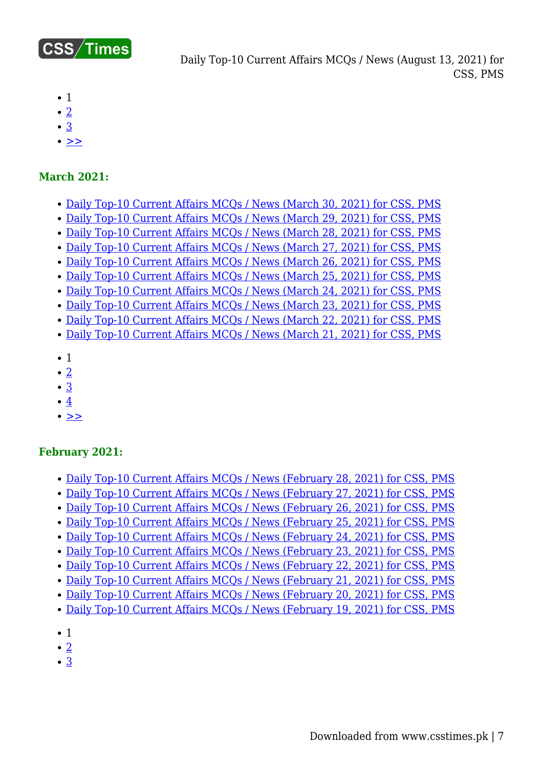

- $\bullet$  1
- $\cdot$  [2](https://www.csstimes.pk/current-affairs-mcqs-aug-13-2021/?pdf=18292&lcp_page0=2#lcp_instance_0)
- [3](https://www.csstimes.pk/current-affairs-mcqs-aug-13-2021/?pdf=18292&lcp_page0=3#lcp_instance_0)
- $\bullet$   $>$

#### **March 2021:**

- [Daily Top-10 Current Affairs MCQs / News \(March 30, 2021\) for CSS, PMS](https://www.csstimes.pk/current-affairs-mcqs-mar-30-2021/)
- [Daily Top-10 Current Affairs MCQs / News \(March 29, 2021\) for CSS, PMS](https://www.csstimes.pk/current-affairs-mcqs-mar-29-2021/)
- [Daily Top-10 Current Affairs MCQs / News \(March 28, 2021\) for CSS, PMS](https://www.csstimes.pk/current-affairs-mcqs-mar-28-2021/)
- [Daily Top-10 Current Affairs MCQs / News \(March 27, 2021\) for CSS, PMS](https://www.csstimes.pk/current-affairs-mcqs-mar-27-2021/)
- [Daily Top-10 Current Affairs MCQs / News \(March 26, 2021\) for CSS, PMS](https://www.csstimes.pk/current-affairs-mcqs-mar-26-2021/)
- [Daily Top-10 Current Affairs MCQs / News \(March 25, 2021\) for CSS, PMS](https://www.csstimes.pk/current-affairs-mcqs-mar-25-2021/) [Daily Top-10 Current Affairs MCQs / News \(March 24, 2021\) for CSS, PMS](https://www.csstimes.pk/current-affairs-mcqs-mar-24-2021/)
- [Daily Top-10 Current Affairs MCQs / News \(March 23, 2021\) for CSS, PMS](https://www.csstimes.pk/current-affairs-mcqs-mar-23-2021/)
- [Daily Top-10 Current Affairs MCQs / News \(March 22, 2021\) for CSS, PMS](https://www.csstimes.pk/current-affairs-mcqs-mar-22-2021/)
- [Daily Top-10 Current Affairs MCQs / News \(March 21, 2021\) for CSS, PMS](https://www.csstimes.pk/current-affairs-mcqs-mar-21-2021/)
- $\bullet$  1
- $\cdot$  [2](https://www.csstimes.pk/current-affairs-mcqs-aug-13-2021/?pdf=18292&lcp_page0=2#lcp_instance_0)
- [3](https://www.csstimes.pk/current-affairs-mcqs-aug-13-2021/?pdf=18292&lcp_page0=3#lcp_instance_0)
- $\cdot$   $4$
- $\bullet$  [>>](https://www.csstimes.pk/current-affairs-mcqs-aug-13-2021/?pdf=18292&lcp_page0=2#lcp_instance_0)

#### **February 2021:**

- [Daily Top-10 Current Affairs MCQs / News \(February 28, 2021\) for CSS, PMS](https://www.csstimes.pk/current-affairs-mcqs-feb-28-2021/)
- [Daily Top-10 Current Affairs MCQs / News \(February 27, 2021\) for CSS, PMS](https://www.csstimes.pk/current-affairs-mcqs-feb-27-2021/)
- [Daily Top-10 Current Affairs MCQs / News \(February 26, 2021\) for CSS, PMS](https://www.csstimes.pk/current-affairs-mcqs-feb-26-2021/)
- [Daily Top-10 Current Affairs MCQs / News \(February 25, 2021\) for CSS, PMS](https://www.csstimes.pk/current-affairs-mcqs-feb-25-2021/)
- [Daily Top-10 Current Affairs MCQs / News \(February 24, 2021\) for CSS, PMS](https://www.csstimes.pk/daily-current-affairs-mcqs-feb-24-2021/)
- [Daily Top-10 Current Affairs MCQs / News \(February 23, 2021\) for CSS, PMS](https://www.csstimes.pk/daily-current-affairs-mcqs-feb-23-2021/)
- [Daily Top-10 Current Affairs MCQs / News \(February 22, 2021\) for CSS, PMS](https://www.csstimes.pk/daily-current-affairs-mcqs-feb-22-2021/)
- [Daily Top-10 Current Affairs MCQs / News \(February 21, 2021\) for CSS, PMS](https://www.csstimes.pk/daily-current-affairs-mcqs-feb-21-2021/)
- [Daily Top-10 Current Affairs MCQs / News \(February 20, 2021\) for CSS, PMS](https://www.csstimes.pk/daily-current-affairs-mcqs-feb-20-2021/)
- [Daily Top-10 Current Affairs MCQs / News \(February 19, 2021\) for CSS, PMS](https://www.csstimes.pk/daily-current-affairs-mcqs-feb-19-2021/)
- 1
- $\bullet$  [2](https://www.csstimes.pk/current-affairs-mcqs-aug-13-2021/?pdf=18292&lcp_page0=2#lcp_instance_0)
- [3](https://www.csstimes.pk/current-affairs-mcqs-aug-13-2021/?pdf=18292&lcp_page0=3#lcp_instance_0)